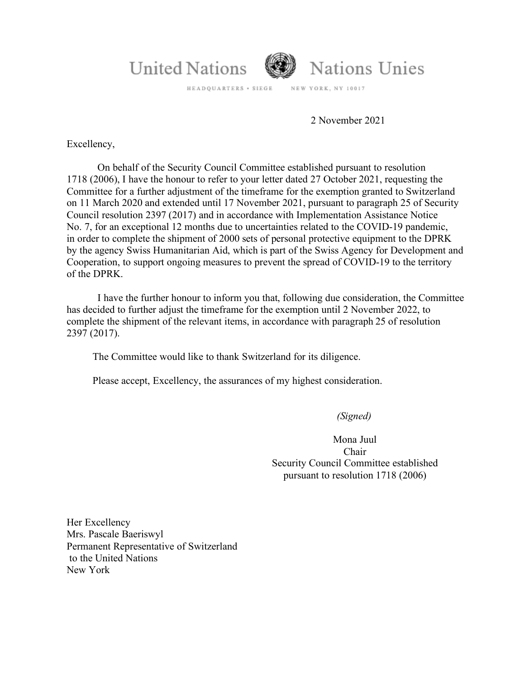

HEADQUARTERS + SIEGE NEW YORK, NY 10017

2 November 2021

Excellency,

On behalf of the Security Council Committee established pursuant to resolution 1718 (2006), I have the honour to refer to your letter dated 27 October 2021, requesting the Committee for a further adjustment of the timeframe for the exemption granted to Switzerland on 11 March 2020 and extended until 17 November 2021, pursuant to paragraph 25 of Security Council resolution 2397 (2017) and in accordance with Implementation Assistance Notice No. 7, for an exceptional 12 months due to uncertainties related to the COVID-19 pandemic, in order to complete the shipment of 2000 sets of personal protective equipment to the DPRK by the agency Swiss Humanitarian Aid, which is part of the Swiss Agency for Development and Cooperation, to support ongoing measures to prevent the spread of COVID-19 to the territory of the DPRK.

I have the further honour to inform you that, following due consideration, the Committee has decided to further adjust the timeframe for the exemption until 2 November 2022, to complete the shipment of the relevant items, in accordance with paragraph 25 of resolution 2397 (2017).

The Committee would like to thank Switzerland for its diligence.

Please accept, Excellency, the assurances of my highest consideration.

 *(Signed)*

Mona Juul Chair Security Council Committee established pursuant to resolution 1718 (2006)

Her Excellency Mrs. Pascale Baeriswyl Permanent Representative of Switzerland to the United Nations New York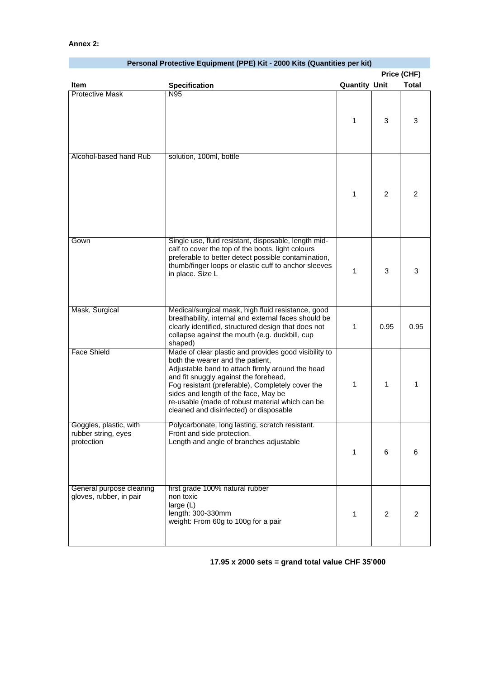| Personal Protective Equipment (PPE) Kit - 2000 Kits (Quantities per kit) |                                                                                                                                                                                                                                                                                                                                                                                 |                      |                |                |
|--------------------------------------------------------------------------|---------------------------------------------------------------------------------------------------------------------------------------------------------------------------------------------------------------------------------------------------------------------------------------------------------------------------------------------------------------------------------|----------------------|----------------|----------------|
|                                                                          |                                                                                                                                                                                                                                                                                                                                                                                 | Price (CHF)          |                |                |
| Item                                                                     | <b>Specification</b>                                                                                                                                                                                                                                                                                                                                                            | <b>Quantity Unit</b> |                | <b>Total</b>   |
| <b>Protective Mask</b>                                                   | N95                                                                                                                                                                                                                                                                                                                                                                             | 1                    | 3              | 3              |
| Alcohol-based hand Rub                                                   | solution, 100ml, bottle                                                                                                                                                                                                                                                                                                                                                         | 1                    | $\overline{2}$ | $\overline{2}$ |
| Gown                                                                     | Single use, fluid resistant, disposable, length mid-<br>calf to cover the top of the boots, light colours<br>preferable to better detect possible contamination,<br>thumb/finger loops or elastic cuff to anchor sleeves<br>in place. Size L                                                                                                                                    | 1                    | 3              | 3              |
| Mask, Surgical                                                           | Medical/surgical mask, high fluid resistance, good<br>breathability, internal and external faces should be<br>clearly identified, structured design that does not<br>collapse against the mouth (e.g. duckbill, cup<br>shaped)                                                                                                                                                  | 1                    | 0.95           | 0.95           |
| <b>Face Shield</b>                                                       | Made of clear plastic and provides good visibility to<br>both the wearer and the patient,<br>Adjustable band to attach firmly around the head<br>and fit snuggly against the forehead,<br>Fog resistant (preferable), Completely cover the<br>sides and length of the face, May be<br>re-usable (made of robust material which can be<br>cleaned and disinfected) or disposable | 1                    | $\mathbf{1}$   | $\mathbf{1}$   |
| Goggles, plastic, with<br>rubber string, eyes<br>protection              | Polycarbonate, long lasting, scratch resistant.<br>Front and side protection.<br>Length and angle of branches adjustable                                                                                                                                                                                                                                                        | 1                    | 6              | 6              |
| General purpose cleaning<br>gloves, rubber, in pair                      | first grade 100% natural rubber<br>non toxic<br>large $(L)$<br>length: 300-330mm<br>weight: From 60g to 100g for a pair                                                                                                                                                                                                                                                         | 1                    | $\overline{2}$ | $\overline{2}$ |

## **17.95 x 2000 sets = grand total value CHF 35'000**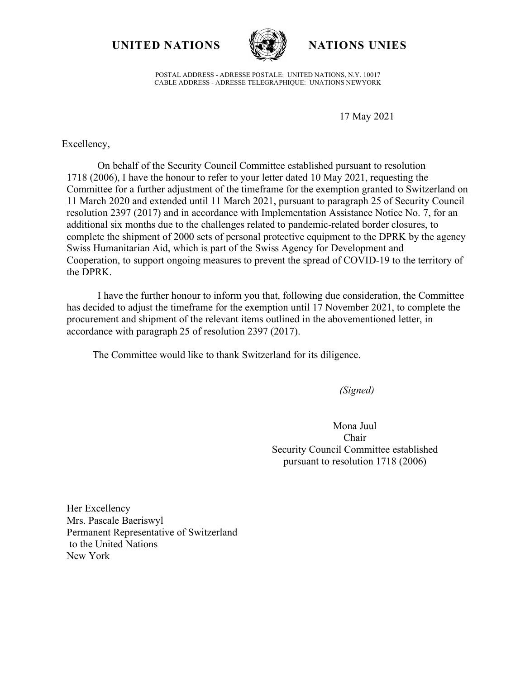**UNITED NATIONS NATIONS UNIES**



POSTAL ADDRESS - ADRESSE POSTALE: UNITED NATIONS, N.Y. 10017 CABLE ADDRESS - ADRESSE TELEGRAPHIQUE: UNATIONS NEWYORK

17 May 2021

Excellency,

On behalf of the Security Council Committee established pursuant to resolution 1718 (2006), I have the honour to refer to your letter dated 10 May 2021, requesting the Committee for a further adjustment of the timeframe for the exemption granted to Switzerland on 11 March 2020 and extended until 11 March 2021, pursuant to paragraph 25 of Security Council resolution 2397 (2017) and in accordance with Implementation Assistance Notice No. 7, for an additional six months due to the challenges related to pandemic-related border closures, to complete the shipment of 2000 sets of personal protective equipment to the DPRK by the agency Swiss Humanitarian Aid, which is part of the Swiss Agency for Development and Cooperation, to support ongoing measures to prevent the spread of COVID-19 to the territory of the DPRK.

I have the further honour to inform you that, following due consideration, the Committee has decided to adjust the timeframe for the exemption until 17 November 2021, to complete the procurement and shipment of the relevant items outlined in the abovementioned letter, in accordance with paragraph 25 of resolution 2397 (2017).

The Committee would like to thank Switzerland for its diligence.

*(Signed)* 

Mona Juul Chair Security Council Committee established pursuant to resolution 1718 (2006)

Her Excellency Mrs. Pascale Baeriswyl Permanent Representative of Switzerland to the United Nations New York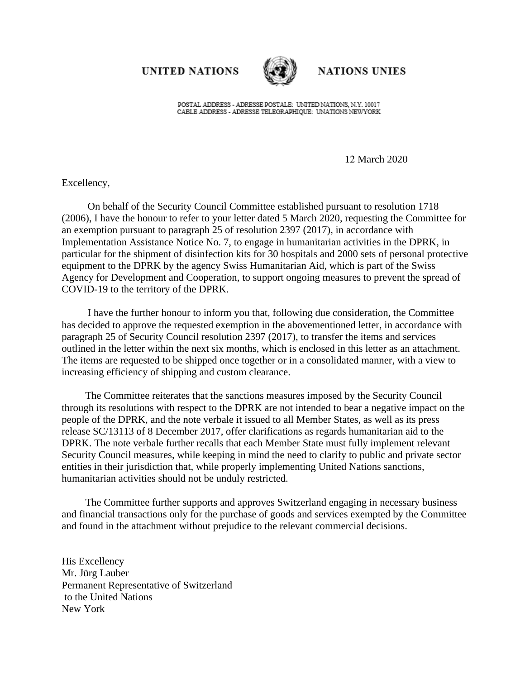**UNITED NATIONS** 



**NATIONS UNIES** 

POSTAL ADDRESS - ADRESSE POSTALE: UNITED NATIONS, N.Y. 10017 CABLE ADDRESS - ADRESSE TELEGRAPHIOUE: UNATIONS NEWYORK

12 March 2020

Excellency,

On behalf of the Security Council Committee established pursuant to resolution 1718 (2006), I have the honour to refer to your letter dated 5 March 2020, requesting the Committee for an exemption pursuant to paragraph 25 of resolution 2397 (2017), in accordance with Implementation Assistance Notice No. 7, to engage in humanitarian activities in the DPRK, in particular for the shipment of disinfection kits for 30 hospitals and 2000 sets of personal protective equipment to the DPRK by the agency Swiss Humanitarian Aid, which is part of the Swiss Agency for Development and Cooperation, to support ongoing measures to prevent the spread of COVID-19 to the territory of the DPRK.

I have the further honour to inform you that, following due consideration, the Committee has decided to approve the requested exemption in the abovementioned letter, in accordance with paragraph 25 of Security Council resolution 2397 (2017), to transfer the items and services outlined in the letter within the next six months, which is enclosed in this letter as an attachment. The items are requested to be shipped once together or in a consolidated manner, with a view to increasing efficiency of shipping and custom clearance.

The Committee reiterates that the sanctions measures imposed by the Security Council through its resolutions with respect to the DPRK are not intended to bear a negative impact on the people of the DPRK, and the note verbale it issued to all Member States, as well as its press release SC/13113 of 8 December 2017, offer clarifications as regards humanitarian aid to the DPRK. The note verbale further recalls that each Member State must fully implement relevant Security Council measures, while keeping in mind the need to clarify to public and private sector entities in their jurisdiction that, while properly implementing United Nations sanctions, humanitarian activities should not be unduly restricted.

The Committee further supports and approves Switzerland engaging in necessary business and financial transactions only for the purchase of goods and services exempted by the Committee and found in the attachment without prejudice to the relevant commercial decisions.

His Excellency Mr. Jürg Lauber Permanent Representative of Switzerland to the United Nations New York